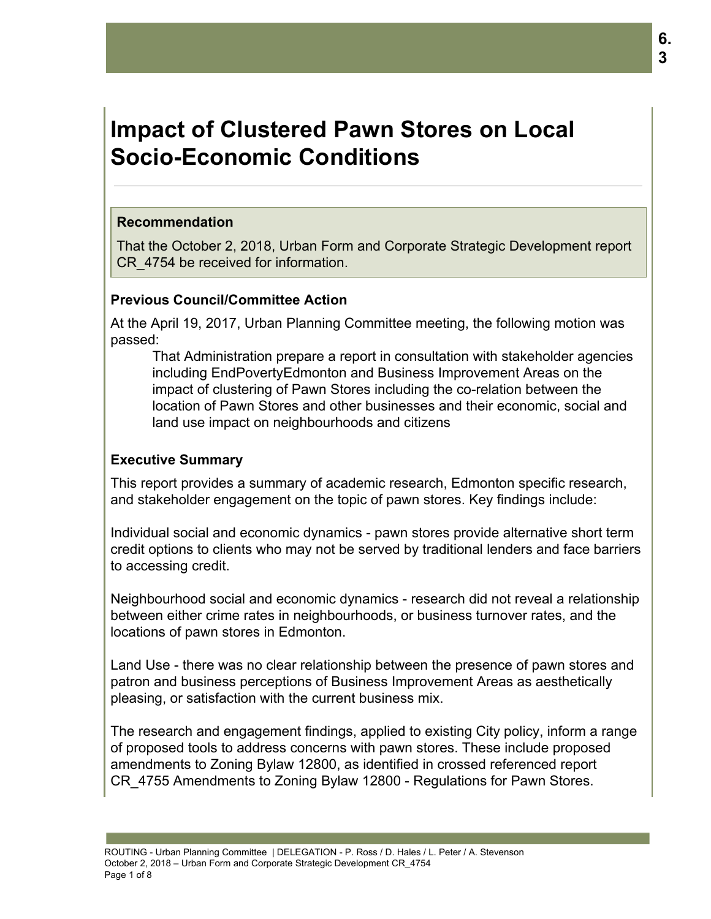# **Impact of Clustered Pawn Stores on Local Socio-Economic Conditions**

#### **Recommendation**

That the October 2, 2018, Urban Form and Corporate Strategic Development report CR\_4754 be received for information.

### **Previous Council/Committee Action**

At the April 19, 2017, Urban Planning Committee meeting, the following motion was passed:

That Administration prepare a report in consultation with stakeholder agencies including EndPovertyEdmonton and Business Improvement Areas on the impact of clustering of Pawn Stores including the co-relation between the location of Pawn Stores and other businesses and their economic, social and land use impact on neighbourhoods and citizens

## **Executive Summary**

This report provides a summary of academic research, Edmonton specific research, and stakeholder engagement on the topic of pawn stores. Key findings include:

Individual social and economic dynamics - pawn stores provide alternative short term credit options to clients who may not be served by traditional lenders and face barriers to accessing credit.

Neighbourhood social and economic dynamics - research did not reveal a relationship between either crime rates in neighbourhoods, or business turnover rates, and the locations of pawn stores in Edmonton.

Land Use - there was no clear relationship between the presence of pawn stores and patron and business perceptions of Business Improvement Areas as aesthetically pleasing, or satisfaction with the current business mix.

The research and engagement findings, applied to existing City policy, inform a range of proposed tools to address concerns with pawn stores. These include proposed amendments to Zoning Bylaw 12800, as identified in crossed referenced report CR\_4755 Amendments to Zoning Bylaw 12800 - Regulations for Pawn Stores.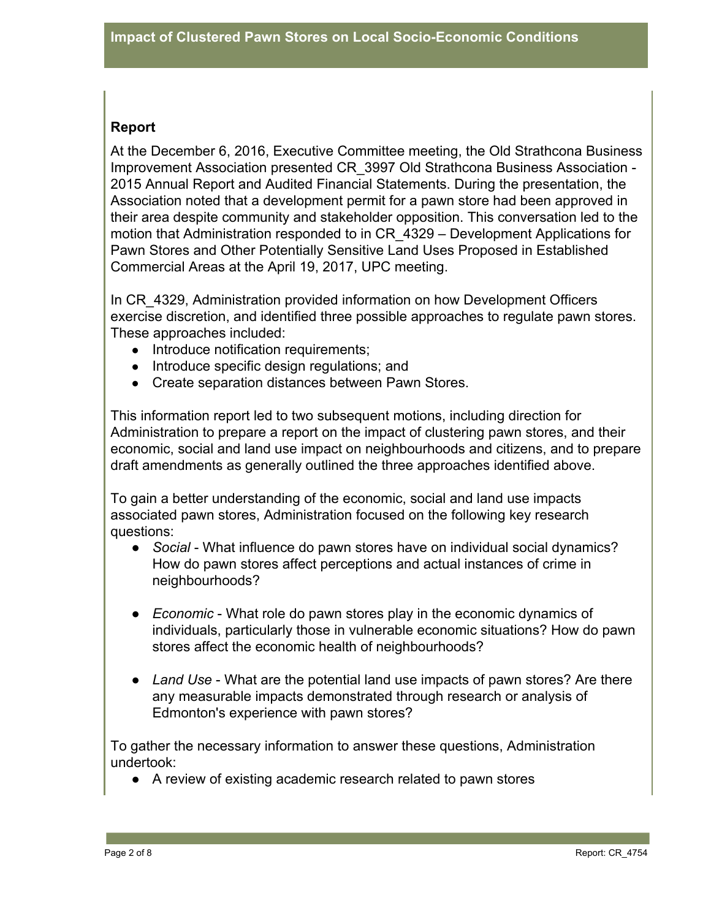# **Report**

At the December 6, 2016, Executive Committee meeting, the Old Strathcona Business Improvement Association presented CR\_3997 Old Strathcona Business Association - 2015 Annual Report and Audited Financial Statements. During the presentation, the Association noted that a development permit for a pawn store had been approved in their area despite community and stakeholder opposition. This conversation led to the motion that Administration responded to in CR\_4329 – Development Applications for Pawn Stores and Other Potentially Sensitive Land Uses Proposed in Established Commercial Areas at the April 19, 2017, UPC meeting.

In CR\_4329, Administration provided information on how Development Officers exercise discretion, and identified three possible approaches to regulate pawn stores. These approaches included:

- Introduce notification requirements;
- Introduce specific design regulations; and
- Create separation distances between Pawn Stores.

This information report led to two subsequent motions, including direction for Administration to prepare a report on the impact of clustering pawn stores, and their economic, social and land use impact on neighbourhoods and citizens, and to prepare draft amendments as generally outlined the three approaches identified above.

To gain a better understanding of the economic, social and land use impacts associated pawn stores, Administration focused on the following key research questions:

- *Social* What influence do pawn stores have on individual social dynamics? How do pawn stores affect perceptions and actual instances of crime in neighbourhoods?
- *Economic* What role do pawn stores play in the economic dynamics of individuals, particularly those in vulnerable economic situations? How do pawn stores affect the economic health of neighbourhoods?
- Land Use What are the potential land use impacts of pawn stores? Are there any measurable impacts demonstrated through research or analysis of Edmonton's experience with pawn stores?

To gather the necessary information to answer these questions, Administration undertook:

● A review of existing academic research related to pawn stores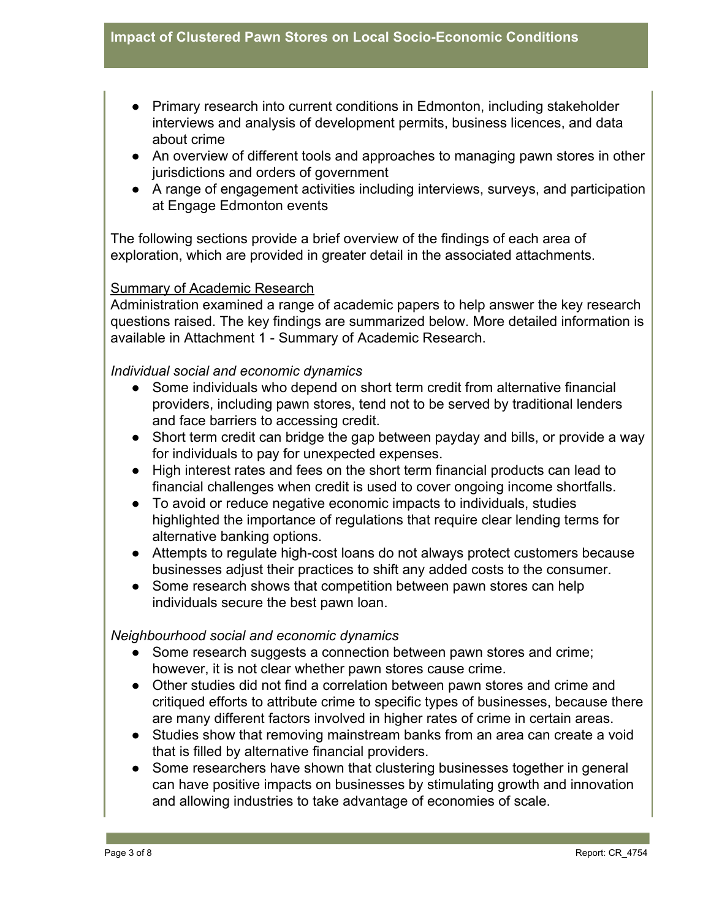- Primary research into current conditions in Edmonton, including stakeholder interviews and analysis of development permits, business licences, and data about crime
- An overview of different tools and approaches to managing pawn stores in other jurisdictions and orders of government
- A range of engagement activities including interviews, surveys, and participation at Engage Edmonton events

The following sections provide a brief overview of the findings of each area of exploration, which are provided in greater detail in the associated attachments.

### Summary of Academic Research

Administration examined a range of academic papers to help answer the key research questions raised. The key findings are summarized below. More detailed information is available in Attachment 1 - Summary of Academic Research.

#### *Individual social and economic dynamics*

- Some individuals who depend on short term credit from alternative financial providers, including pawn stores, tend not to be served by traditional lenders and face barriers to accessing credit.
- Short term credit can bridge the gap between payday and bills, or provide a way for individuals to pay for unexpected expenses.
- High interest rates and fees on the short term financial products can lead to financial challenges when credit is used to cover ongoing income shortfalls.
- To avoid or reduce negative economic impacts to individuals, studies highlighted the importance of regulations that require clear lending terms for alternative banking options.
- Attempts to regulate high-cost loans do not always protect customers because businesses adjust their practices to shift any added costs to the consumer.
- Some research shows that competition between pawn stores can help individuals secure the best pawn loan.

#### *Neighbourhood social and economic dynamics*

- Some research suggests a connection between pawn stores and crime; however, it is not clear whether pawn stores cause crime.
- Other studies did not find a correlation between pawn stores and crime and critiqued efforts to attribute crime to specific types of businesses, because there are many different factors involved in higher rates of crime in certain areas.
- Studies show that removing mainstream banks from an area can create a void that is filled by alternative financial providers.
- Some researchers have shown that clustering businesses together in general can have positive impacts on businesses by stimulating growth and innovation and allowing industries to take advantage of economies of scale.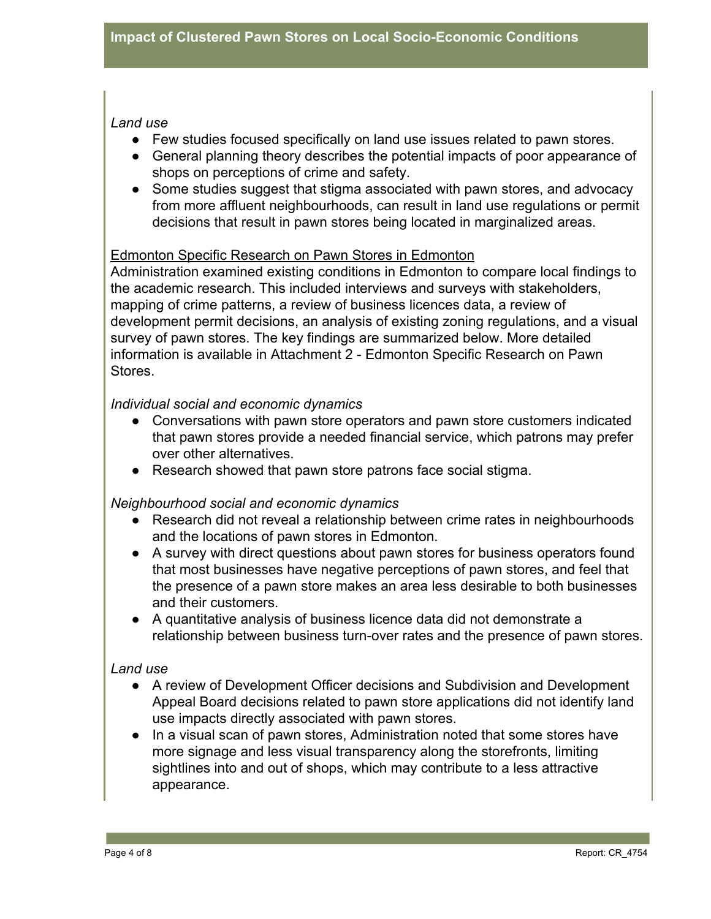### *Land use*

- Few studies focused specifically on land use issues related to pawn stores.
- General planning theory describes the potential impacts of poor appearance of shops on perceptions of crime and safety.
- Some studies suggest that stigma associated with pawn stores, and advocacy from more affluent neighbourhoods, can result in land use regulations or permit decisions that result in pawn stores being located in marginalized areas.

### Edmonton Specific Research on Pawn Stores in Edmonton

Administration examined existing conditions in Edmonton to compare local findings to the academic research. This included interviews and surveys with stakeholders, mapping of crime patterns, a review of business licences data, a review of development permit decisions, an analysis of existing zoning regulations, and a visual survey of pawn stores. The key findings are summarized below. More detailed information is available in Attachment 2 - Edmonton Specific Research on Pawn Stores.

## *Individual social and economic dynamics*

- Conversations with pawn store operators and pawn store customers indicated that pawn stores provide a needed financial service, which patrons may prefer over other alternatives.
- Research showed that pawn store patrons face social stigma.

### *Neighbourhood social and economic dynamics*

- Research did not reveal a relationship between crime rates in neighbourhoods and the locations of pawn stores in Edmonton.
- A survey with direct questions about pawn stores for business operators found that most businesses have negative perceptions of pawn stores, and feel that the presence of a pawn store makes an area less desirable to both businesses and their customers.
- A quantitative analysis of business licence data did not demonstrate a relationship between business turn-over rates and the presence of pawn stores.

### *Land use*

- A review of Development Officer decisions and Subdivision and Development Appeal Board decisions related to pawn store applications did not identify land use impacts directly associated with pawn stores.
- In a visual scan of pawn stores, Administration noted that some stores have more signage and less visual transparency along the storefronts, limiting sightlines into and out of shops, which may contribute to a less attractive appearance.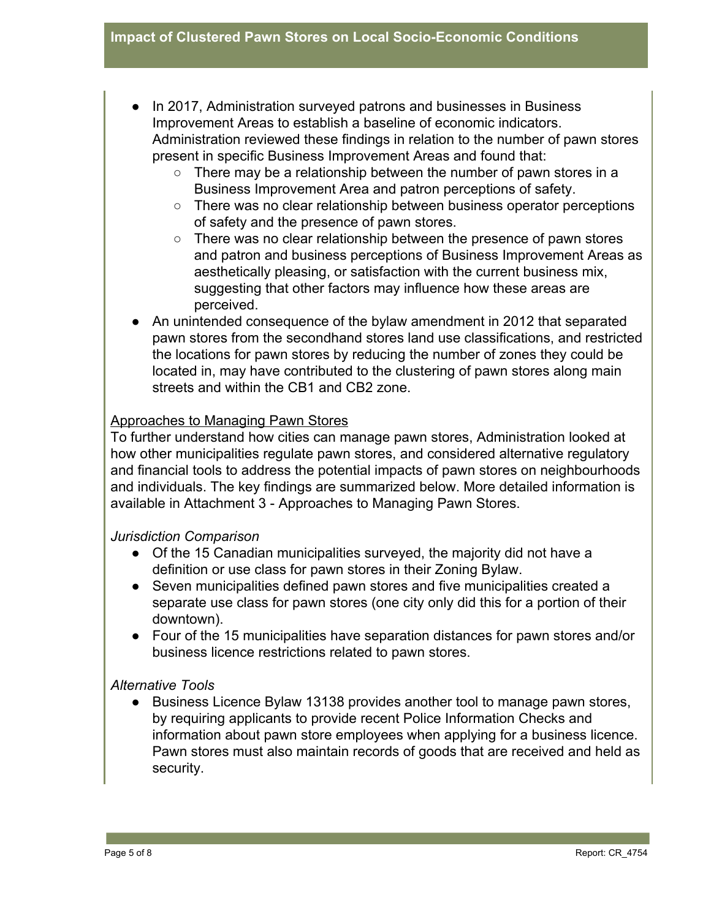- In 2017, Administration surveyed patrons and businesses in Business Improvement Areas to establish a baseline of economic indicators. Administration reviewed these findings in relation to the number of pawn stores present in specific Business Improvement Areas and found that:
	- There may be a relationship between the number of pawn stores in a Business Improvement Area and patron perceptions of safety.
	- There was no clear relationship between business operator perceptions of safety and the presence of pawn stores.
	- There was no clear relationship between the presence of pawn stores and patron and business perceptions of Business Improvement Areas as aesthetically pleasing, or satisfaction with the current business mix, suggesting that other factors may influence how these areas are perceived.
- An unintended consequence of the bylaw amendment in 2012 that separated pawn stores from the secondhand stores land use classifications, and restricted the locations for pawn stores by reducing the number of zones they could be located in, may have contributed to the clustering of pawn stores along main streets and within the CB1 and CB2 zone.

## Approaches to Managing Pawn Stores

To further understand how cities can manage pawn stores, Administration looked at how other municipalities regulate pawn stores, and considered alternative regulatory and financial tools to address the potential impacts of pawn stores on neighbourhoods and individuals. The key findings are summarized below. More detailed information is available in Attachment 3 - Approaches to Managing Pawn Stores.

### *Jurisdiction Comparison*

- Of the 15 Canadian municipalities surveyed, the majority did not have a definition or use class for pawn stores in their Zoning Bylaw.
- Seven municipalities defined pawn stores and five municipalities created a separate use class for pawn stores (one city only did this for a portion of their downtown).
- Four of the 15 municipalities have separation distances for pawn stores and/or business licence restrictions related to pawn stores.

### *Alternative Tools*

● Business Licence Bylaw 13138 provides another tool to manage pawn stores, by requiring applicants to provide recent Police Information Checks and information about pawn store employees when applying for a business licence. Pawn stores must also maintain records of goods that are received and held as security.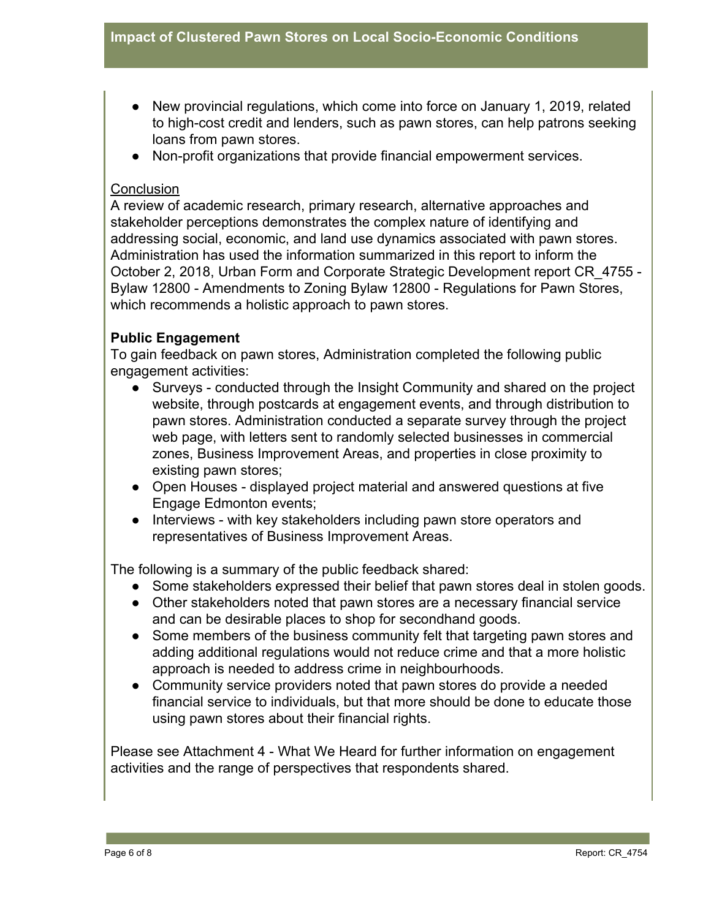- New provincial regulations, which come into force on January 1, 2019, related to high-cost credit and lenders, such as pawn stores, can help patrons seeking loans from pawn stores.
- Non-profit organizations that provide financial empowerment services.

## **Conclusion**

A review of academic research, primary research, alternative approaches and stakeholder perceptions demonstrates the complex nature of identifying and addressing social, economic, and land use dynamics associated with pawn stores. Administration has used the information summarized in this report to inform the October 2, 2018, Urban Form and Corporate Strategic Development report CR\_4755 - Bylaw 12800 - Amendments to Zoning Bylaw 12800 - Regulations for Pawn Stores, which recommends a holistic approach to pawn stores.

# **Public Engagement**

To gain feedback on pawn stores, Administration completed the following public engagement activities:

- Surveys conducted through the Insight Community and shared on the project website, through postcards at engagement events, and through distribution to pawn stores. Administration conducted a separate survey through the project web page, with letters sent to randomly selected businesses in commercial zones, Business Improvement Areas, and properties in close proximity to existing pawn stores;
- Open Houses displayed project material and answered questions at five Engage Edmonton events;
- Interviews with key stakeholders including pawn store operators and representatives of Business Improvement Areas.

The following is a summary of the public feedback shared:

- Some stakeholders expressed their belief that pawn stores deal in stolen goods.
- Other stakeholders noted that pawn stores are a necessary financial service and can be desirable places to shop for secondhand goods.
- Some members of the business community felt that targeting pawn stores and adding additional regulations would not reduce crime and that a more holistic approach is needed to address crime in neighbourhoods.
- Community service providers noted that pawn stores do provide a needed financial service to individuals, but that more should be done to educate those using pawn stores about their financial rights.

Please see Attachment 4 - What We Heard for further information on engagement activities and the range of perspectives that respondents shared.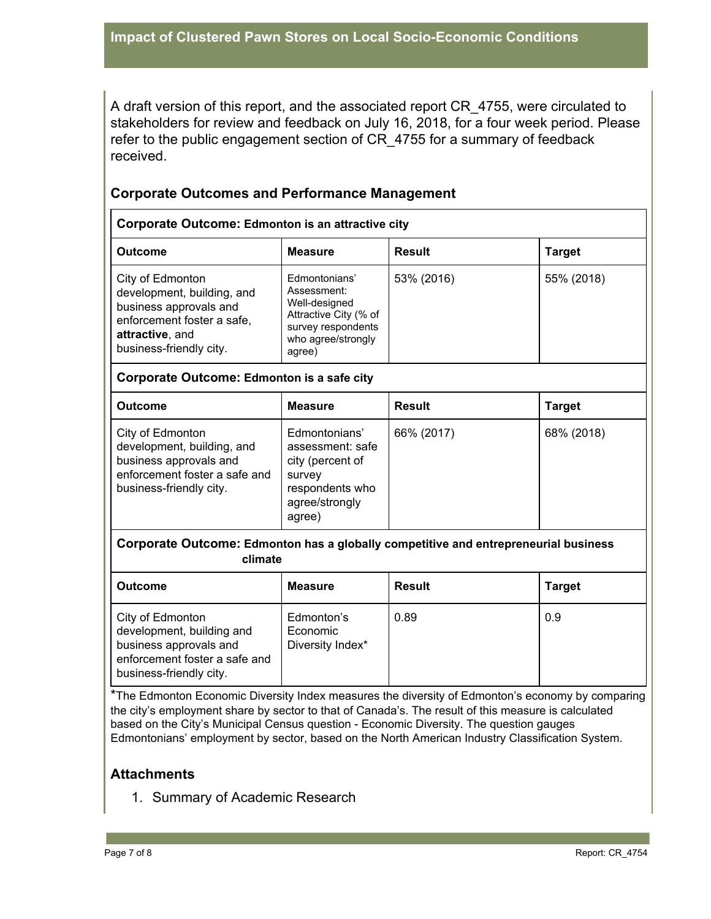A draft version of this report, and the associated report CR\_4755, were circulated to stakeholders for review and feedback on July 16, 2018, for a four week period. Please refer to the public engagement section of CR\_4755 for a summary of feedback received.

## **Corporate Outcomes and Performance Management**

| <b>Corporate Outcome: Edmonton is an attractive city</b>                                                                                             |                                                                                                                              |               |               |
|------------------------------------------------------------------------------------------------------------------------------------------------------|------------------------------------------------------------------------------------------------------------------------------|---------------|---------------|
| <b>Outcome</b>                                                                                                                                       | <b>Measure</b>                                                                                                               | <b>Result</b> | <b>Target</b> |
| City of Edmonton<br>development, building, and<br>business approvals and<br>enforcement foster a safe,<br>attractive, and<br>business-friendly city. | Edmontonians'<br>Assessment:<br>Well-designed<br>Attractive City (% of<br>survey respondents<br>who agree/strongly<br>agree) | 53% (2016)    | 55% (2018)    |
| Corporate Outcome: Edmonton is a safe city                                                                                                           |                                                                                                                              |               |               |
| <b>Outcome</b>                                                                                                                                       | <b>Measure</b>                                                                                                               | <b>Result</b> | <b>Target</b> |
| City of Edmonton<br>development, building, and<br>business approvals and<br>enforcement foster a safe and<br>business-friendly city.                 | Edmontonians'<br>assessment: safe<br>city (percent of<br>survey<br>respondents who<br>agree/strongly<br>agree)               | 66% (2017)    | 68% (2018)    |
| <b>Corporate Outcome: Edmonton has a globally competitive and entrepreneurial business</b><br>climate                                                |                                                                                                                              |               |               |
| <b>Outcome</b>                                                                                                                                       | <b>Measure</b>                                                                                                               | <b>Result</b> | <b>Target</b> |
| City of Edmonton<br>development, building and<br>business approvals and<br>enforcement foster a safe and<br>business-friendly city.                  | Edmonton's<br>Economic<br>Diversity Index*                                                                                   | 0.89          | 0.9           |

\*The Edmonton Economic Diversity Index measures the diversity of Edmonton's economy by comparing the city's employment share by sector to that of Canada's. The result of this measure is calculated based on the City's Municipal Census question - Economic Diversity. The question gauges Edmontonians' employment by sector, based on the North American Industry Classification System.

### **Attachments**

1. Summary of Academic Research